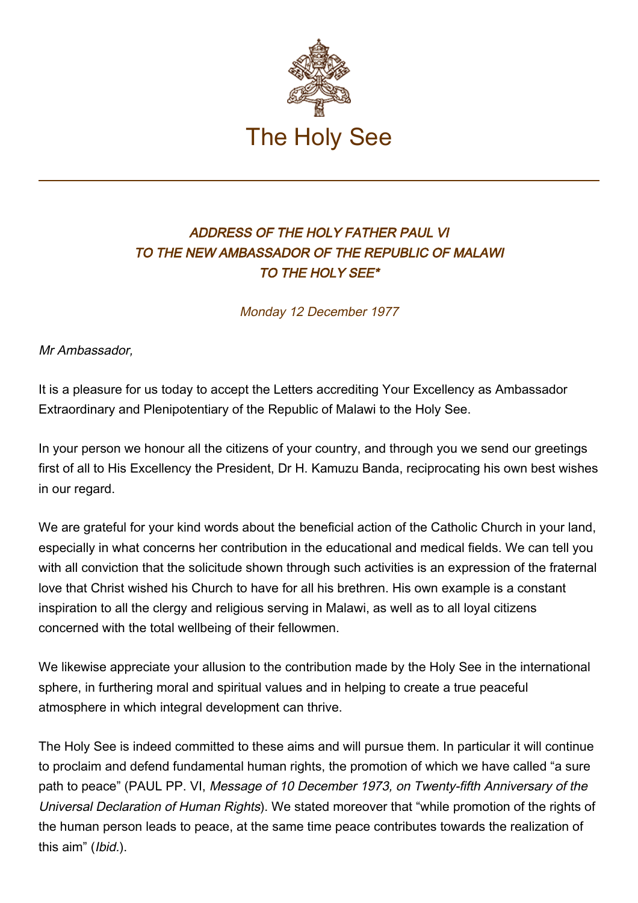

## ADDRESS OF THE HOLY FATHER PAUL VI TO THE NEW AMBASSADOR OF THE REPUBLIC OF MALAWI TO THE HOLY SEE\*

Monday 12 December 1977

Mr Ambassador,

It is a pleasure for us today to accept the Letters accrediting Your Excellency as Ambassador Extraordinary and Plenipotentiary of the Republic of Malawi to the Holy See.

In your person we honour all the citizens of your country, and through you we send our greetings first of all to His Excellency the President, Dr H. Kamuzu Banda, reciprocating his own best wishes in our regard.

We are grateful for your kind words about the beneficial action of the Catholic Church in your land, especially in what concerns her contribution in the educational and medical fields. We can tell you with all conviction that the solicitude shown through such activities is an expression of the fraternal love that Christ wished his Church to have for all his brethren. His own example is a constant inspiration to all the clergy and religious serving in Malawi, as well as to all loyal citizens concerned with the total wellbeing of their fellowmen.

We likewise appreciate your allusion to the contribution made by the Holy See in the international sphere, in furthering moral and spiritual values and in helping to create a true peaceful atmosphere in which integral development can thrive.

The Holy See is indeed committed to these aims and will pursue them. In particular it will continue to proclaim and defend fundamental human rights, the promotion of which we have called "a sure path to peace" (PAUL PP. VI, Message of 10 December 1973, on Twenty-fifth Anniversary of the Universal Declaration of Human Rights). We stated moreover that "while promotion of the rights of the human person leads to peace, at the same time peace contributes towards the realization of this aim" (Ibid.).